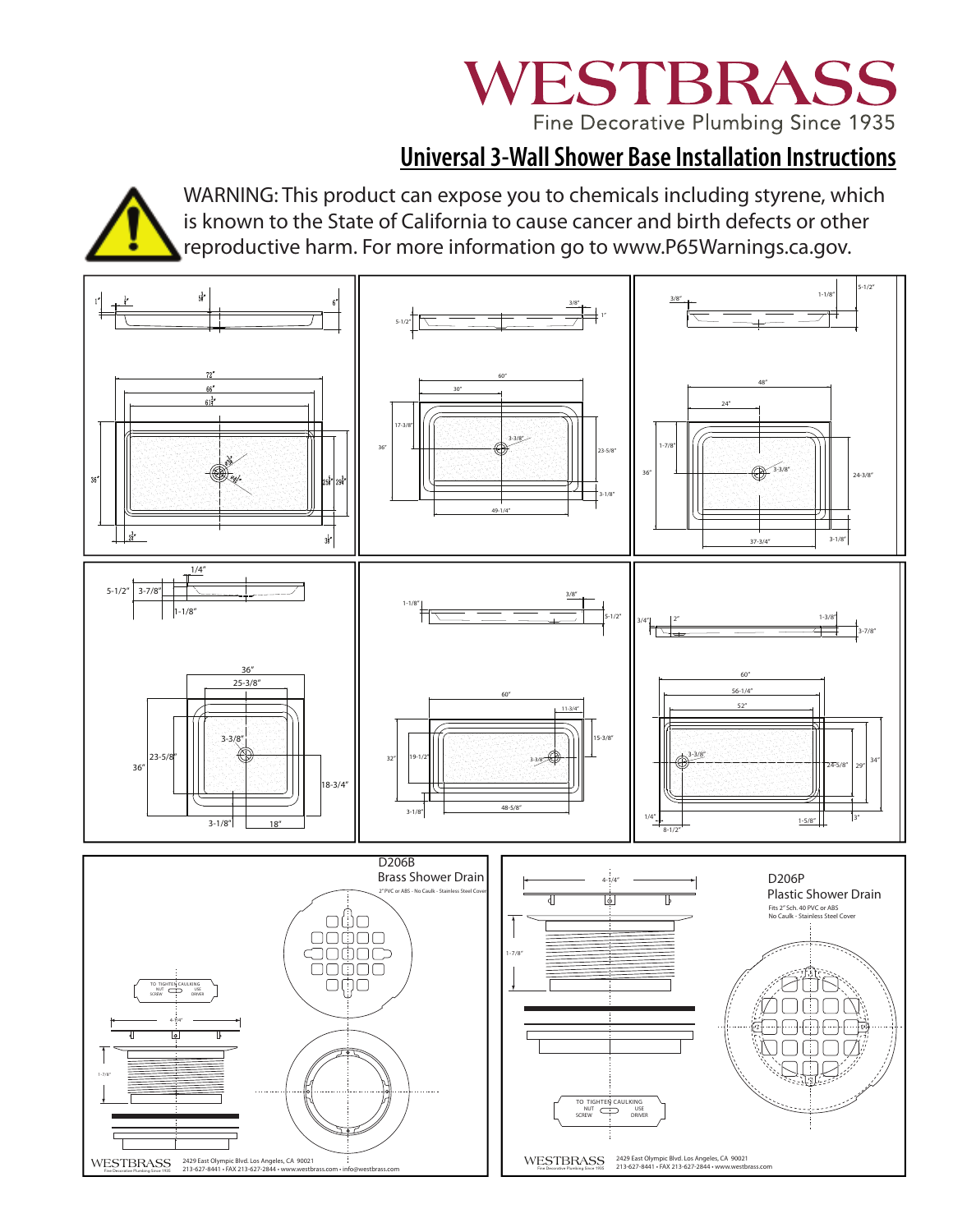# WESTBRASS Fine Decorative Plumbing Since 1935

### **Universal 3-Wall Shower Base Installation Instructions**



WARNING: This product can expose you to chemicals including styrene, which is known to the State of California to cause cancer and birth defects or other reproductive harm. For more information go to www.P65Warnings.ca.gov.

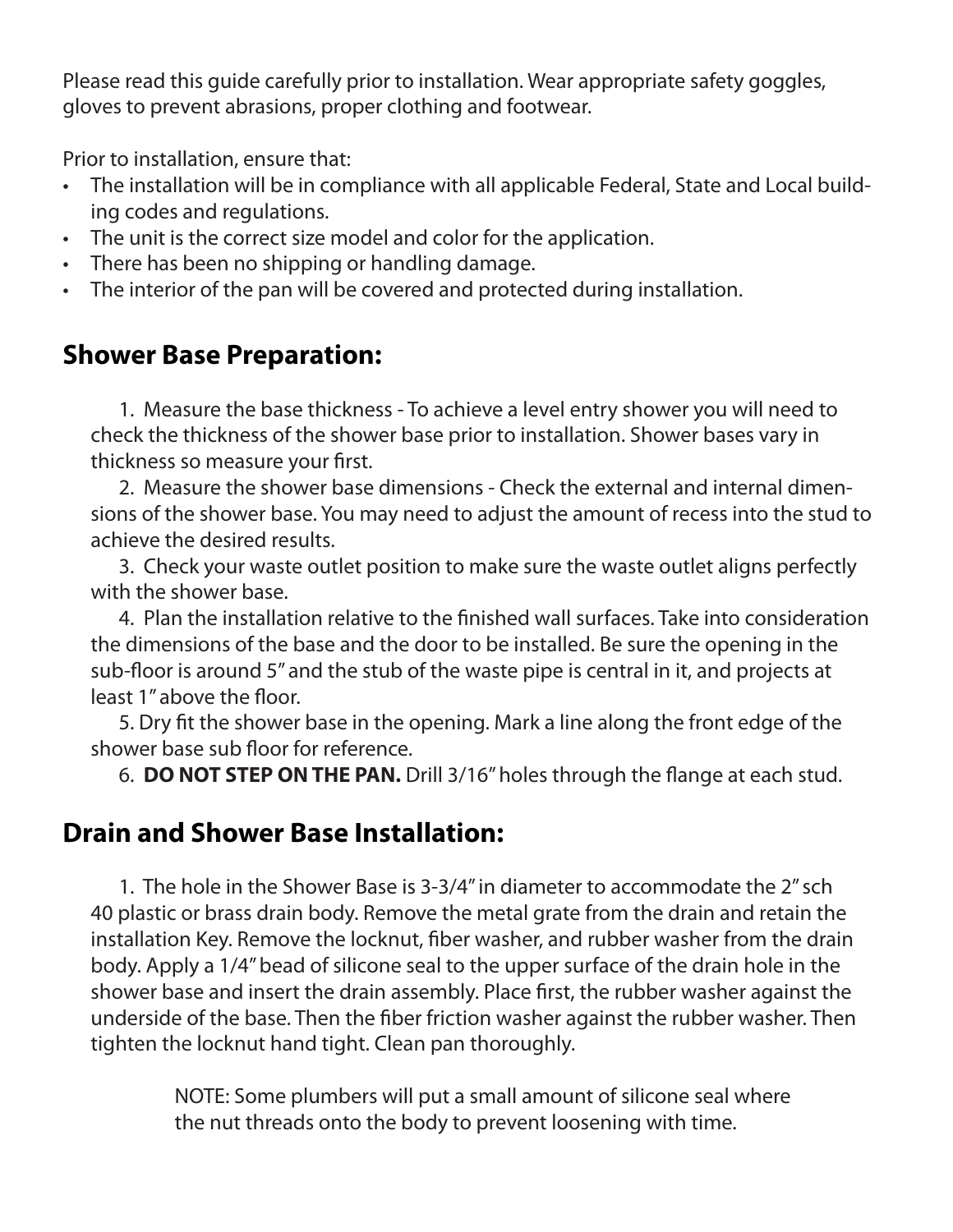Please read this guide carefully prior to installation. Wear appropriate safety goggles, gloves to prevent abrasions, proper clothing and footwear.

Prior to installation, ensure that:

- The installation will be in compliance with all applicable Federal, State and Local building codes and regulations.
- The unit is the correct size model and color for the application.
- There has been no shipping or handling damage.
- The interior of the pan will be covered and protected during installation.

### **Shower Base Preparation:**

 1. Measure the base thickness - To achieve a level entry shower you will need to check the thickness of the shower base prior to installation. Shower bases vary in thickness so measure your first.

 2. Measure the shower base dimensions - Check the external and internal dimensions of the shower base. You may need to adjust the amount of recess into the stud to achieve the desired results.

 3. Check your waste outlet position to make sure the waste outlet aligns perfectly with the shower base.

 4. Plan the installation relative to the finished wall surfaces. Take into consideration the dimensions of the base and the door to be installed. Be sure the opening in the sub-floor is around 5" and the stub of the waste pipe is central in it, and projects at least 1" above the floor.

 5. Dry fit the shower base in the opening. Mark a line along the front edge of the shower base sub floor for reference.

6. **DO NOT STEP ON THE PAN.** Drill 3/16" holes through the flange at each stud.

### **Drain and Shower Base Installation:**

 1. The hole in the Shower Base is 3-3/4" in diameter to accommodate the 2" sch 40 plastic or brass drain body. Remove the metal grate from the drain and retain the installation Key. Remove the locknut, fiber washer, and rubber washer from the drain body. Apply a 1/4" bead of silicone seal to the upper surface of the drain hole in the shower base and insert the drain assembly. Place first, the rubber washer against the underside of the base. Then the fiber friction washer against the rubber washer. Then tighten the locknut hand tight. Clean pan thoroughly.

> NOTE: Some plumbers will put a small amount of silicone seal where the nut threads onto the body to prevent loosening with time.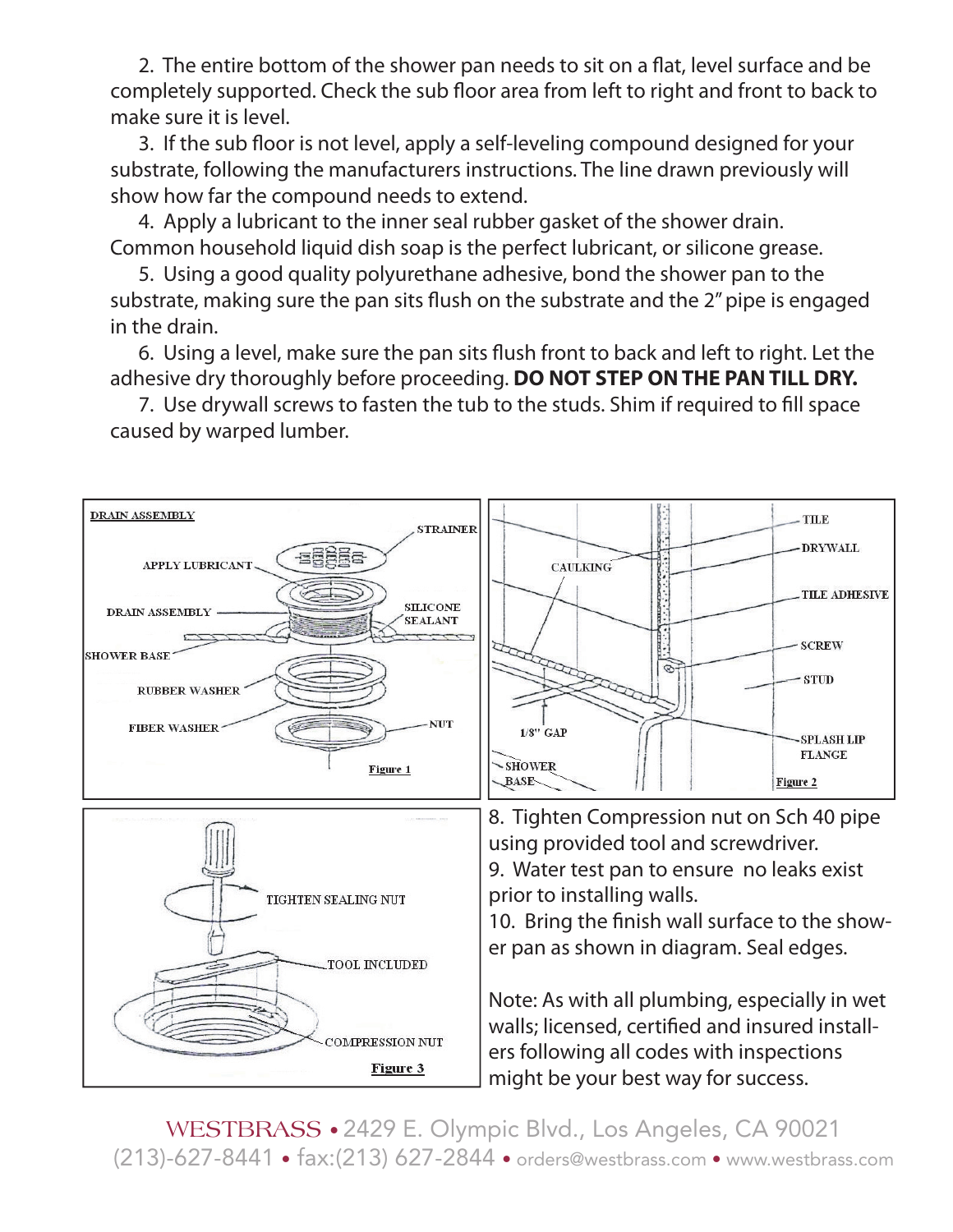2. The entire bottom of the shower pan needs to sit on a flat, level surface and be completely supported. Check the sub floor area from left to right and front to back to make sure it is level.

3. If the sub floor is not level, apply a self-leveling compound designed for your substrate, following the manufacturers instructions. The line drawn previously will show how far the compound needs to extend.

 4. Apply a lubricant to the inner seal rubber gasket of the shower drain. Common household liquid dish soap is the perfect lubricant, or silicone grease.

 5. Using a good quality polyurethane adhesive, bond the shower pan to the substrate, making sure the pan sits flush on the substrate and the 2" pipe is engaged in the drain.

6. Using a level, make sure the pan sits flush front to back and left to right. Let the adhesive dry thoroughly before proceeding. **DO NOT STEP ON THE PAN TILL DRY.**

7. Use drywall screws to fasten the tub to the studs. Shim if required to fill space caused by warped lumber.



WESTBRASS • 2429 E. Olympic Blvd., Los Angeles, CA 90021 (213)-627-8441 • fax:(213) 627-2844 • orders@westbrass.com • www.westbrass.com